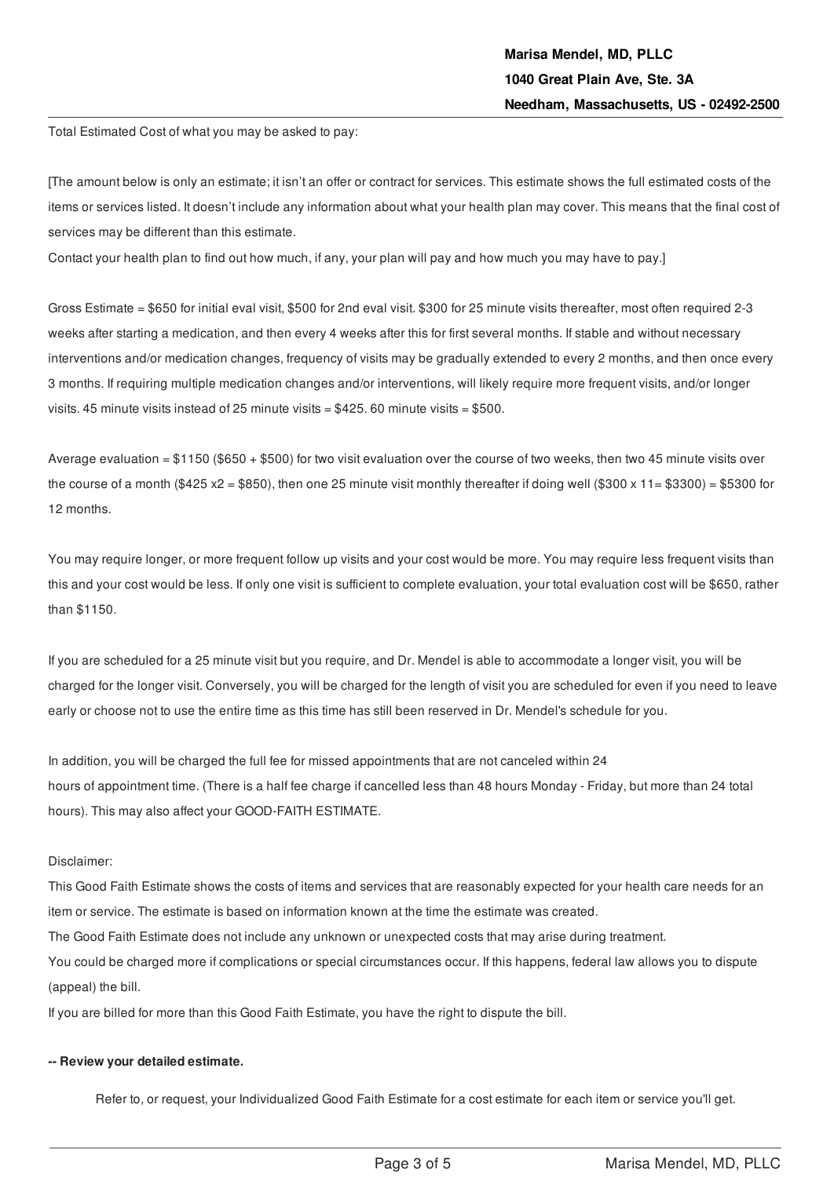Total Estimated Cost of what you may be asked to pay:

[The amount below is only an estimate; it isn't an offer or contract for services. This estimate shows the full estimated costs of the items or services listed. It doesn't include any information about what your health plan may cover. This means that the final cost of services may be different than this estimate.

Contact your health plan to find out how much, if any, your plan will pay and how much you may have to pay.]

Gross Estimate = \$650 for initial eval visit, \$500 for 2nd eval visit. \$300 for 25 minute visits thereafter, most often required 2-3 weeks after starting a medication, and then every 4 weeks after this for first several months. If stable and without necessary interventions and/or medication changes, frequency of visits may be gradually extended to every 2 months, and then once every 3 months. If requiring multiple medication changes and/or interventions, will likely require more frequent visits, and/or longer visits. 45 minute visits instead of 25 minute visits = \$425. 60 minute visits = \$500.

Average evaluation =  $$1150$  (\$650 + \$500) for two visit evaluation over the course of two weeks, then two 45 minute visits over the course of a month (\$425 x2 = \$850), then one 25 minute visit monthly thereafter if doing well (\$300 x 11= \$3300) = \$5300 for 12 months.

You may require longer, or more frequent follow up visits and your cost would be more. You may require less frequent visits than this and your cost would be less. If only one visit is sufficient to complete evaluation, your total evaluation cost will be \$650, rather than \$1150.

If you are scheduled for a 25 minute visit but you require, and Dr. Mendel is able to accommodate a longer visit, you will be charged for the longer visit. Conversely, you will be charged for the length of visit you are scheduled for even if you need to leave early or choose not to use the entire time as this time has still been reserved in Dr. Mendel's schedule for you.

In addition, you will be charged the full fee for missed appointments that are not canceled within 24 hours of appointment time. (There is a half fee charge if cancelled less than 48 hours Monday - Friday, but more than 24 total hours). This may also affect your GOOD-FAITH ESTIMATE.

## Disclaimer:

This Good Faith Estimate shows the costs of items and services that are reasonably expected for your health care needs for an item or service. The estimate is based on information known at the time the estimate was created.

The Good Faith Estimate does not include any unknown or unexpected costs that may arise during treatment.

You could be charged more if complications or special circumstances occur. If this happens, federal law allows you to dispute (appeal) the bill.

If you are billed for more than this Good Faith Estimate, you have the right to dispute the bill.

#### **-- Review your detailed estimate.**

Refer to, or request, your Individualized Good Faith Estimate for a cost estimate for each item or service you'll get.